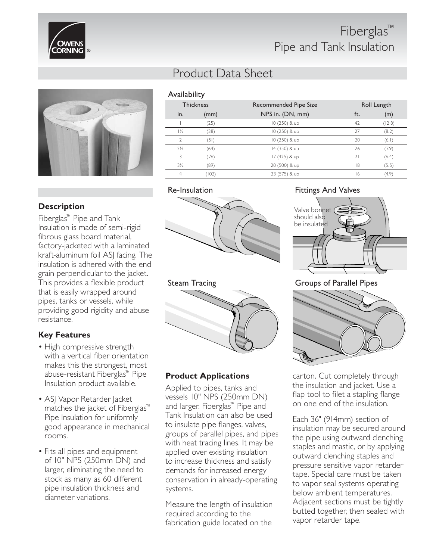

## Fiberglas™ Pipe and Tank Insulation



## **Description**

Fiberglas™ Pipe and Tank Insulation is made of semi-rigid fibrous glass board material, factory-jacketed with a laminated kraft-aluminum foil ASJ facing. The insulation is adhered with the end grain perpendicular to the jacket. This provides a flexible product that is easily wrapped around pipes, tanks or vessels, while providing good rigidity and abuse resistance.

## **Key Features**

- High compressive strength with a vertical fiber orientation makes this the strongest, most abuse-resistant Fiberglas™ Pipe Insulation product available.
- ASJ Vapor Retarder Jacket matches the jacket of Fiberglas™ Pipe Insulation for uniformly good appearance in mechanical rooms.
- Fits all pipes and equipment of 10" NPS (250mm DN) and larger, eliminating the need to stock as many as 60 different pipe insulation thickness and diameter variations.

## Product Data Sheet

Availability

| <b>Thickness</b> |       | Recommended Pipe Size | Roll Length              |        |  |  |
|------------------|-------|-----------------------|--------------------------|--------|--|--|
| in.              | (mm)  | NPS in. (DN, mm)      | ft.                      | (m)    |  |  |
|                  | (25)  | 10 (250) & up         | 42                       | (12.8) |  |  |
| $1\frac{1}{2}$   | (38)  | 10 (250) & up         | 27                       | (8.2)  |  |  |
| $\mathfrak{D}$   | (51)  | 10 (250) & up         | 20                       | (6.1)  |  |  |
| $2\frac{1}{2}$   | (64)  | 14 (350) & up         | 26                       | (7.9)  |  |  |
| ς                | (76)  | 17 (425) & up         | $\overline{\mathcal{L}}$ | (6.4)  |  |  |
| $3\frac{1}{2}$   | (89)  | 20 (500) & up         | 8                        | (5.5)  |  |  |
| $\overline{4}$   | (102) | 23 (575) & up         | 16                       | (4.9)  |  |  |

#### Re-Insulation





## **Product Applications**

Applied to pipes, tanks and vessels 10" NPS (250mm DN) and larger. Fiberglas™ Pipe and Tank Insulation can also be used to insulate pipe flanges, valves, groups of parallel pipes, and pipes with heat tracing lines. It may be applied over existing insulation to increase thickness and satisfy demands for increased energy conservation in already-operating systems.

Measure the length of insulation required according to the fabrication guide located on the

#### Fittings And Valves





carton. Cut completely through the insulation and jacket. Use a flap tool to filet a stapling flange on one end of the insulation.

Each 36" (914mm) section of insulation may be secured around the pipe using outward clenching staples and mastic, or by applying outward clenching staples and pressure sensitive vapor retarder tape. Special care must be taken to vapor seal systems operating below ambient temperatures. Adjacent sections must be tightly butted together, then sealed with vapor retarder tape.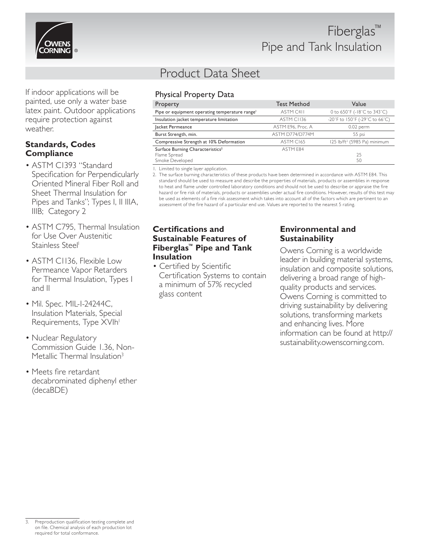

If indoor applications will be painted, use only a water base latex paint. Outdoor applications require protection against weather.

#### **Standards, Codes Compliance**

- ASTM C1393 "Standard Specification for Perpendicularly Oriented Mineral Fiber Roll and Sheet Thermal Insulation for Pipes and Tanks"; Types I, II IIIA, IIIB; Category 2
- ASTM C795, Thermal Insulation for Use Over Austenitic Stainless Steel<sup>1</sup>
- ASTM C1136, Flexible Low Permeance Vapor Retarders for Thermal Insulation, Types I and II
- Mil. Spec. MIL-I-24244C, Insulation Materials, Special Requirements, Type XVIh<sup>1</sup>
- Nuclear Regulatory Commission Guide 1.36, Non-Metallic Thermal Insulation<sup>3</sup>
- Meets fire retardant decabrominated diphenyl ether (decaBDE)

# Product Data Sheet

## Physical Property Data

| Property                                                   | <b>Test Method</b> | Value                                    |
|------------------------------------------------------------|--------------------|------------------------------------------|
| Pipe or equipment operating temperature range <sup>1</sup> | ASTM C411          | 0 to 650°F (-18°C to 343°C)              |
| Insulation jacket temperature limitation                   | ASTM CI136         | -20°F to 150°F (-29°C to 66°C)           |
| Jacket Permeance                                           | ASTM E96, Proc. A  | $0.02$ perm                              |
| Burst Strength, min.                                       | ASTM D774/D774M    | 55 psi                                   |
| Compressive Strength at 10% Deformation                    | ASTM C165          | 125 lb/ft <sup>2</sup> (5985 Pa) minimum |
| Surface Burning Characteristics <sup>2</sup>               | ASTM F84           |                                          |
| Flame Spread                                               |                    | 25                                       |
| Smoke Developed                                            |                    | 50                                       |

1. Limited to single layer application.

2. The surface burning characteristics of these products have been determined in accordance with ASTM E84. This standard should be used to measure and describe the properties of materials, products or assemblies in response to heat and flame under controlled laboratory conditions and should not be used to describe or appraise the fire hazard or fire risk of materials, products or assemblies under actual fire conditions. However, results of this test may be used as elements of a fire risk assessment which takes into account all of the factors which are pertinent to an assessment of the fire hazard of a particular end use. Values are reported to the nearest 5 rating.

#### **Certifications and Sustainable Features of Fiberglas™ Pipe and Tank Insulation**

• Certified by Scientific Certification Systems to contain a minimum of 57% recycled glass content

## **Environmental and Sustainability**

Owens Corning is a worldwide leader in building material systems, insulation and composite solutions, delivering a broad range of highquality products and services. Owens Corning is committed to driving sustainability by delivering solutions, transforming markets and enhancing lives. More information can be found at http:// sustainability.owenscorning.com.

Preproduction qualification testing complete and on file. Chemical analysis of each production lot required for total conformance.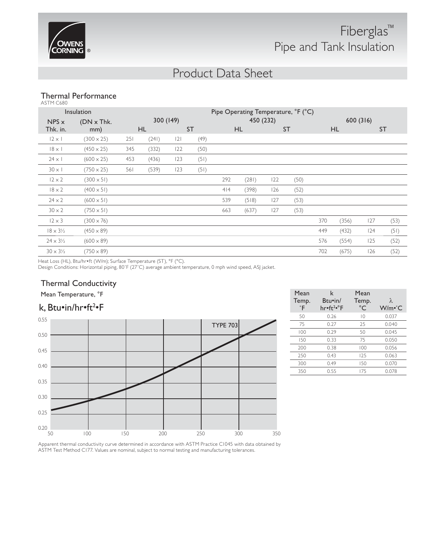

## Product Data Sheet

#### Thermal Performance ASTM C680

| Insulation               |                          | Pipe Operating Temperature, °F (°C) |       |     |                                     |     |       |     |                                     |     |       |     |      |
|--------------------------|--------------------------|-------------------------------------|-------|-----|-------------------------------------|-----|-------|-----|-------------------------------------|-----|-------|-----|------|
| $NPS \times$<br>Thk. in. | $(DN \times Thk.$<br>mm) | 300 (149)<br><b>ST</b><br><b>HL</b> |       |     | 450 (232)<br><b>HL</b><br><b>ST</b> |     |       |     | 600 (316)<br><b>ST</b><br><b>HL</b> |     |       |     |      |
|                          |                          |                                     |       |     |                                     |     |       |     |                                     |     |       |     |      |
| $12 \times 1$            | $(300 \times 25)$        | 251                                 | (241) | 2   | (49)                                |     |       |     |                                     |     |       |     |      |
| $18 \times 1$            | $(450 \times 25)$        | 345                                 | (332) | 122 | (50)                                |     |       |     |                                     |     |       |     |      |
| $24 \times 1$            | $(600 \times 25)$        | 453                                 | (436) | 123 | (51)                                |     |       |     |                                     |     |       |     |      |
| $30 \times 1$            | $(750 \times 25)$        | 561                                 | (539) | 123 | (51)                                |     |       |     |                                     |     |       |     |      |
| $12 \times 2$            | $(300 \times 51)$        |                                     |       |     |                                     | 292 | (281) | 122 | (50)                                |     |       |     |      |
| $18 \times 2$            | $(400 \times 51)$        |                                     |       |     |                                     | 4 4 | (398) | 126 | (52)                                |     |       |     |      |
| $24 \times 2$            | $(600 \times 51)$        |                                     |       |     |                                     | 539 | (518) | 127 | (53)                                |     |       |     |      |
| $30 \times 2$            | $(750 \times 51)$        |                                     |       |     |                                     | 663 | (637) | 127 | (53)                                |     |       |     |      |
| $12 \times 3$            | $(300 \times 76)$        |                                     |       |     |                                     |     |       |     |                                     | 370 | (356) | 127 | (53) |
| $18 \times 3\frac{1}{2}$ | $(450 \times 89)$        |                                     |       |     |                                     |     |       |     |                                     | 449 | (432) | 124 | (51) |
| $24 \times 3\frac{1}{2}$ | $(600 \times 89)$        |                                     |       |     |                                     |     |       |     |                                     | 576 | (554) | 125 | (52) |
| $30 \times 3\frac{1}{2}$ | $(750 \times 89)$        |                                     |       |     |                                     |     |       |     |                                     | 702 | (675) | 126 | (52) |

Heat Loss (HL), Btu/hr•ft (W/m); Surface Temperature (ST), °F (°C).

Design Conditions: Horizontal piping, 80°F (27°C) average ambient temperature, 0 mph wind speed, ASJ jacket.

#### Thermal Conductivity



| Mean Temperature, °F            |  |                 | Mean        | k                                 | Mean                 |                         |
|---------------------------------|--|-----------------|-------------|-----------------------------------|----------------------|-------------------------|
| k, Btu•in/hr•ft <sup>2</sup> •F |  |                 | Temp.<br>°F | Btu•in/<br>hr•ft <sup>2</sup> •°F | Temp.<br>$^{\circ}C$ | Λ<br>W/m <sup>°</sup> C |
| 0.55                            |  |                 | 50          | 0.26                              | $\overline{10}$      | 0.037                   |
|                                 |  | <b>TYPE 703</b> | 75          | 0.27                              | 25                   | 0.040                   |
| 0.50                            |  |                 | 100         | 0.29                              | 50                   | 0.045                   |
|                                 |  |                 | 150         | 0.33                              | 75                   | 0.050                   |
| 0.45                            |  |                 | 200         | 0.38                              | 100                  | 0.056                   |
|                                 |  |                 | 250         | 0.43                              | 125                  | 0.063                   |
| 0.40                            |  |                 | 300         | 0.49                              | 150                  | 0.070                   |
|                                 |  |                 | 350         | 0.55                              | 175                  | 0.078                   |

Apparent thermal conductivity curve determined in accordance with ASTM Practice C1045 with data obtained by ASTM Test Method C177. Values are nominal, subject to normal testing and manufacturing tolerances.